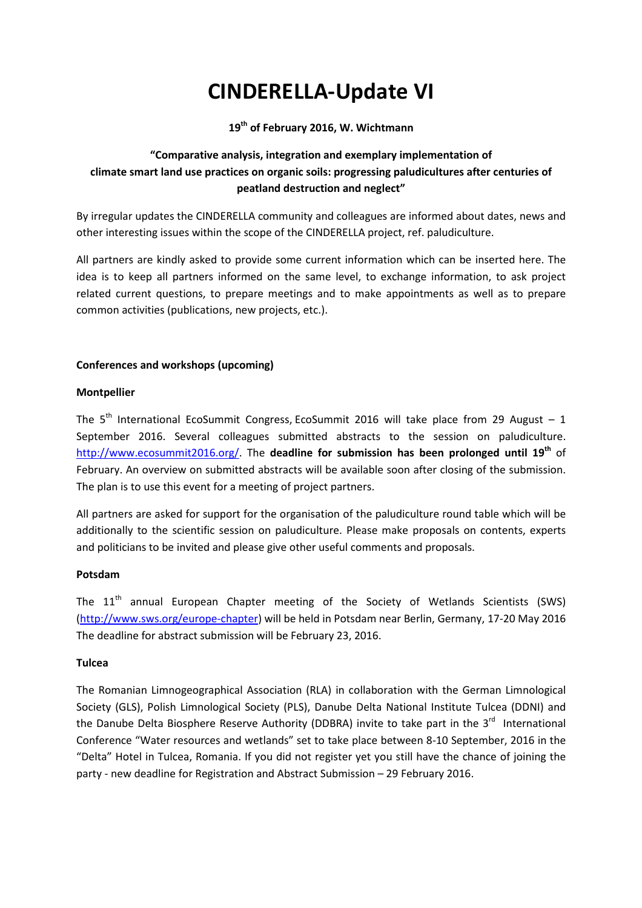# **CINDERELLA-Update VI**

**19th of February 2016, W. Wichtmann** 

# **"Comparative analysis, integration and exemplary implementation of climate smart land use practices on organic soils: progressing paludicultures after centuries of peatland destruction and neglect"**

By irregular updates the CINDERELLA community and colleagues are informed about dates, news and other interesting issues within the scope of the CINDERELLA project, ref. paludiculture.

All partners are kindly asked to provide some current information which can be inserted here. The idea is to keep all partners informed on the same level, to exchange information, to ask project related current questions, to prepare meetings and to make appointments as well as to prepare common activities (publications, new projects, etc.).

# **Conferences and workshops (upcoming)**

# **Montpellier**

The  $5<sup>th</sup>$  International EcoSummit Congress, EcoSummit 2016 will take place from 29 August – 1 September 2016. Several colleagues submitted abstracts to the session on paludiculture. http://www.ecosummit2016.org/. The **deadline for submission has been prolonged until 19th** of February. An overview on submitted abstracts will be available soon after closing of the submission. The plan is to use this event for a meeting of project partners.

All partners are asked for support for the organisation of the paludiculture round table which will be additionally to the scientific session on paludiculture. Please make proposals on contents, experts and politicians to be invited and please give other useful comments and proposals.

#### **Potsdam**

The  $11<sup>th</sup>$  annual European Chapter meeting of the Society of Wetlands Scientists (SWS) (http://www.sws.org/europe-chapter) will be held in Potsdam near Berlin, Germany, 17-20 May 2016 The deadline for abstract submission will be February 23, 2016.

# **Tulcea**

The Romanian Limnogeographical Association (RLA) in collaboration with the German Limnological Society (GLS), Polish Limnological Society (PLS), Danube Delta National Institute Tulcea (DDNI) and the Danube Delta Biosphere Reserve Authority (DDBRA) invite to take part in the  $3<sup>rd</sup>$  International Conference "Water resources and wetlands" set to take place between 8-10 September, 2016 in the "Delta" Hotel in Tulcea, Romania. If you did not register yet you still have the chance of joining the party - new deadline for Registration and Abstract Submission – 29 February 2016.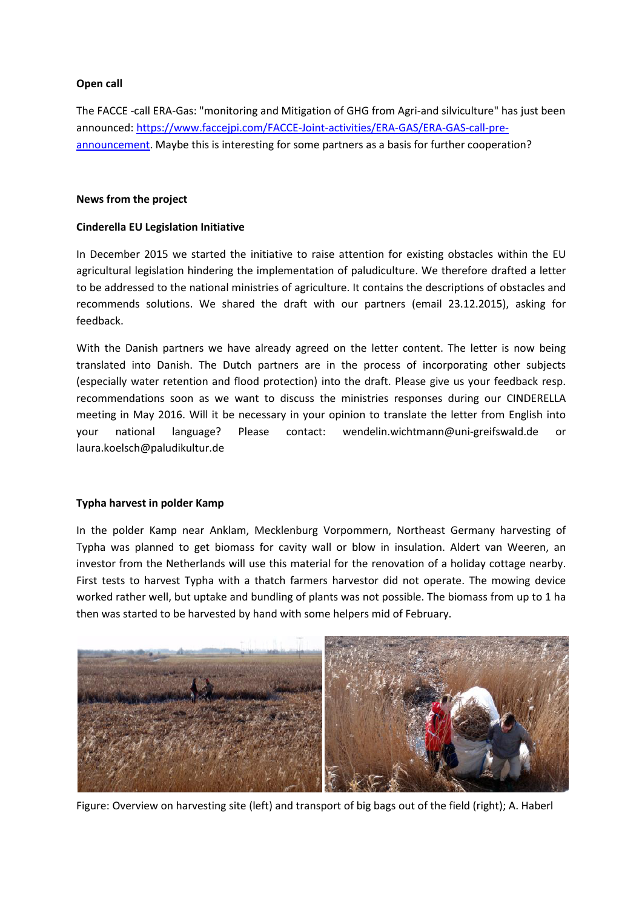# **Open call**

The FACCE -call ERA-Gas: "monitoring and Mitigation of GHG from Agri-and silviculture" has just been announced: https://www.faccejpi.com/FACCE-Joint-activities/ERA-GAS/ERA-GAS-call-preannouncement. Maybe this is interesting for some partners as a basis for further cooperation?

#### **News from the project**

# **Cinderella EU Legislation Initiative**

In December 2015 we started the initiative to raise attention for existing obstacles within the EU agricultural legislation hindering the implementation of paludiculture. We therefore drafted a letter to be addressed to the national ministries of agriculture. It contains the descriptions of obstacles and recommends solutions. We shared the draft with our partners (email 23.12.2015), asking for feedback.

With the Danish partners we have already agreed on the letter content. The letter is now being translated into Danish. The Dutch partners are in the process of incorporating other subjects (especially water retention and flood protection) into the draft. Please give us your feedback resp. recommendations soon as we want to discuss the ministries responses during our CINDERELLA meeting in May 2016. Will it be necessary in your opinion to translate the letter from English into your national language? Please contact: wendelin.wichtmann@uni-greifswald.de or laura.koelsch@paludikultur.de

#### **Typha harvest in polder Kamp**

In the polder Kamp near Anklam, Mecklenburg Vorpommern, Northeast Germany harvesting of Typha was planned to get biomass for cavity wall or blow in insulation. Aldert van Weeren, an investor from the Netherlands will use this material for the renovation of a holiday cottage nearby. First tests to harvest Typha with a thatch farmers harvestor did not operate. The mowing device worked rather well, but uptake and bundling of plants was not possible. The biomass from up to 1 ha then was started to be harvested by hand with some helpers mid of February.



Figure: Overview on harvesting site (left) and transport of big bags out of the field (right); A. Haberl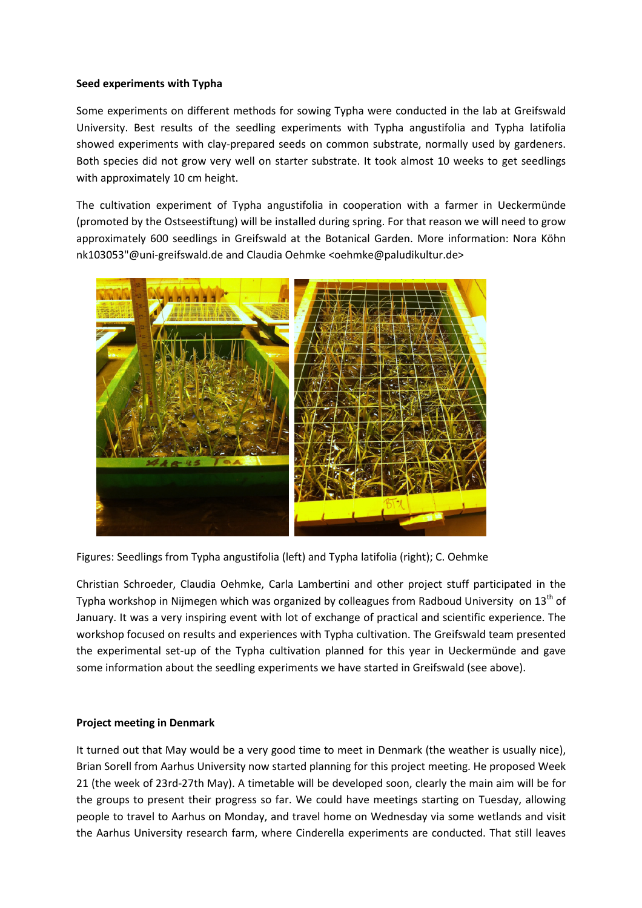#### **Seed experiments with Typha**

Some experiments on different methods for sowing Typha were conducted in the lab at Greifswald University. Best results of the seedling experiments with Typha angustifolia and Typha latifolia showed experiments with clay-prepared seeds on common substrate, normally used by gardeners. Both species did not grow very well on starter substrate. It took almost 10 weeks to get seedlings with approximately 10 cm height.

The cultivation experiment of Typha angustifolia in cooperation with a farmer in Ueckermünde (promoted by the Ostseestiftung) will be installed during spring. For that reason we will need to grow approximately 600 seedlings in Greifswald at the Botanical Garden. More information: Nora Köhn nk103053"@uni-greifswald.de and Claudia Oehmke <oehmke@paludikultur.de>



Figures: Seedlings from Typha angustifolia (left) and Typha latifolia (right); C. Oehmke

Christian Schroeder, Claudia Oehmke, Carla Lambertini and other project stuff participated in the Typha workshop in Nijmegen which was organized by colleagues from Radboud University on 13<sup>th</sup> of January. It was a very inspiring event with lot of exchange of practical and scientific experience. The workshop focused on results and experiences with Typha cultivation. The Greifswald team presented the experimental set-up of the Typha cultivation planned for this year in Ueckermünde and gave some information about the seedling experiments we have started in Greifswald (see above).

#### **Project meeting in Denmark**

It turned out that May would be a very good time to meet in Denmark (the weather is usually nice), Brian Sorell from Aarhus University now started planning for this project meeting. He proposed Week 21 (the week of 23rd-27th May). A timetable will be developed soon, clearly the main aim will be for the groups to present their progress so far. We could have meetings starting on Tuesday, allowing people to travel to Aarhus on Monday, and travel home on Wednesday via some wetlands and visit the Aarhus University research farm, where Cinderella experiments are conducted. That still leaves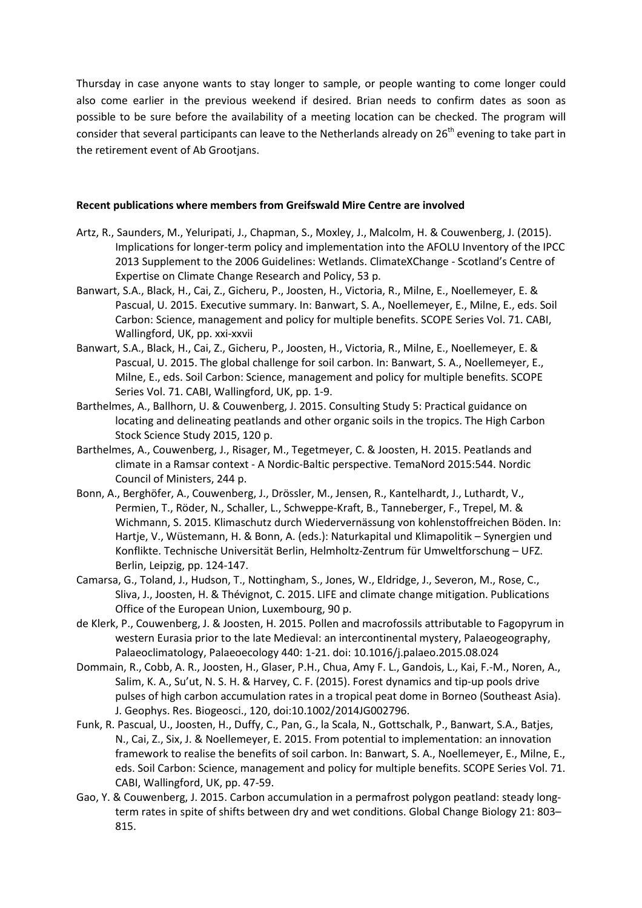Thursday in case anyone wants to stay longer to sample, or people wanting to come longer could also come earlier in the previous weekend if desired. Brian needs to confirm dates as soon as possible to be sure before the availability of a meeting location can be checked. The program will consider that several participants can leave to the Netherlands already on 26<sup>th</sup> evening to take part in the retirement event of Ab Grootjans.

#### **Recent publications where members from Greifswald Mire Centre are involved**

- Artz, R., Saunders, M., Yeluripati, J., Chapman, S., Moxley, J., Malcolm, H. & Couwenberg, J. (2015). Implications for longer-term policy and implementation into the AFOLU Inventory of the IPCC 2013 Supplement to the 2006 Guidelines: Wetlands. ClimateXChange - Scotland's Centre of Expertise on Climate Change Research and Policy, 53 p.
- Banwart, S.A., Black, H., Cai, Z., Gicheru, P., Joosten, H., Victoria, R., Milne, E., Noellemeyer, E. & Pascual, U. 2015. Executive summary. In: Banwart, S. A., Noellemeyer, E., Milne, E., eds. Soil Carbon: Science, management and policy for multiple benefits. SCOPE Series Vol. 71. CABI, Wallingford, UK, pp. xxi-xxvii
- Banwart, S.A., Black, H., Cai, Z., Gicheru, P., Joosten, H., Victoria, R., Milne, E., Noellemeyer, E. & Pascual, U. 2015. The global challenge for soil carbon. In: Banwart, S. A., Noellemeyer, E., Milne, E., eds. Soil Carbon: Science, management and policy for multiple benefits. SCOPE Series Vol. 71. CABI, Wallingford, UK, pp. 1-9.
- Barthelmes, A., Ballhorn, U. & Couwenberg, J. 2015. Consulting Study 5: Practical guidance on locating and delineating peatlands and other organic soils in the tropics. The High Carbon Stock Science Study 2015, 120 p.
- Barthelmes, A., Couwenberg, J., Risager, M., Tegetmeyer, C. & Joosten, H. 2015. Peatlands and climate in a Ramsar context - A Nordic-Baltic perspective. TemaNord 2015:544. Nordic Council of Ministers, 244 p.
- Bonn, A., Berghöfer, A., Couwenberg, J., Drössler, M., Jensen, R., Kantelhardt, J., Luthardt, V., Permien, T., Röder, N., Schaller, L., Schweppe-Kraft, B., Tanneberger, F., Trepel, M. & Wichmann, S. 2015. Klimaschutz durch Wiedervernässung von kohlenstoffreichen Böden. In: Hartje, V., Wüstemann, H. & Bonn, A. (eds.): Naturkapital und Klimapolitik – Synergien und Konflikte. Technische Universität Berlin, Helmholtz-Zentrum für Umweltforschung – UFZ. Berlin, Leipzig, pp. 124-147.
- Camarsa, G., Toland, J., Hudson, T., Nottingham, S., Jones, W., Eldridge, J., Severon, M., Rose, C., Sliva, J., Joosten, H. & Thévignot, C. 2015. LIFE and climate change mitigation. Publications Office of the European Union, Luxembourg, 90 p.
- de Klerk, P., Couwenberg, J. & Joosten, H. 2015. Pollen and macrofossils attributable to Fagopyrum in western Eurasia prior to the late Medieval: an intercontinental mystery, Palaeogeography, Palaeoclimatology, Palaeoecology 440: 1-21. doi: 10.1016/j.palaeo.2015.08.024
- Dommain, R., Cobb, A. R., Joosten, H., Glaser, P.H., Chua, Amy F. L., Gandois, L., Kai, F.-M., Noren, A., Salim, K. A., Su'ut, N. S. H. & Harvey, C. F. (2015). Forest dynamics and tip-up pools drive pulses of high carbon accumulation rates in a tropical peat dome in Borneo (Southeast Asia). J. Geophys. Res. Biogeosci., 120, doi:10.1002/2014JG002796.
- Funk, R. Pascual, U., Joosten, H., Duffy, C., Pan, G., la Scala, N., Gottschalk, P., Banwart, S.A., Batjes, N., Cai, Z., Six, J. & Noellemeyer, E. 2015. From potential to implementation: an innovation framework to realise the benefits of soil carbon. In: Banwart, S. A., Noellemeyer, E., Milne, E., eds. Soil Carbon: Science, management and policy for multiple benefits. SCOPE Series Vol. 71. CABI, Wallingford, UK, pp. 47-59.
- Gao, Y. & Couwenberg, J. 2015. Carbon accumulation in a permafrost polygon peatland: steady longterm rates in spite of shifts between dry and wet conditions. Global Change Biology 21: 803– 815.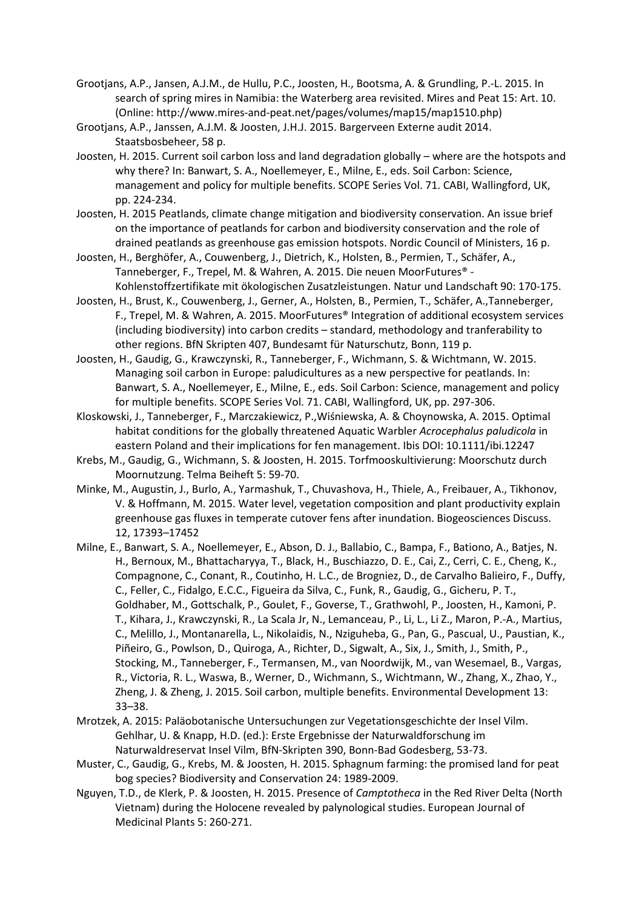- Grootjans, A.P., Jansen, A.J.M., de Hullu, P.C., Joosten, H., Bootsma, A. & Grundling, P.-L. 2015. In search of spring mires in Namibia: the Waterberg area revisited. Mires and Peat 15: Art. 10. (Online: http://www.mires-and-peat.net/pages/volumes/map15/map1510.php)
- Grootjans, A.P., Janssen, A.J.M. & Joosten, J.H.J. 2015. Bargerveen Externe audit 2014. Staatsbosbeheer, 58 p.
- Joosten, H. 2015. Current soil carbon loss and land degradation globally where are the hotspots and why there? In: Banwart, S. A., Noellemeyer, E., Milne, E., eds. Soil Carbon: Science, management and policy for multiple benefits. SCOPE Series Vol. 71. CABI, Wallingford, UK, pp. 224-234.
- Joosten, H. 2015 Peatlands, climate change mitigation and biodiversity conservation. An issue brief on the importance of peatlands for carbon and biodiversity conservation and the role of drained peatlands as greenhouse gas emission hotspots. Nordic Council of Ministers, 16 p.
- Joosten, H., Berghöfer, A., Couwenberg, J., Dietrich, K., Holsten, B., Permien, T., Schäfer, A., Tanneberger, F., Trepel, M. & Wahren, A. 2015. Die neuen MoorFutures® - Kohlenstoffzertifikate mit ökologischen Zusatzleistungen. Natur und Landschaft 90: 170-175.
- Joosten, H., Brust, K., Couwenberg, J., Gerner, A., Holsten, B., Permien, T., Schäfer, A.,Tanneberger, F., Trepel, M. & Wahren, A. 2015. MoorFutures® Integration of additional ecosystem services (including biodiversity) into carbon credits – standard, methodology and tranferability to other regions. BfN Skripten 407, Bundesamt für Naturschutz, Bonn, 119 p.
- Joosten, H., Gaudig, G., Krawczynski, R., Tanneberger, F., Wichmann, S. & Wichtmann, W. 2015. Managing soil carbon in Europe: paludicultures as a new perspective for peatlands. In: Banwart, S. A., Noellemeyer, E., Milne, E., eds. Soil Carbon: Science, management and policy for multiple benefits. SCOPE Series Vol. 71. CABI, Wallingford, UK, pp. 297-306.
- Kloskowski, J., Tanneberger, F., Marczakiewicz, P.,Wiśniewska, A. & Choynowska, A. 2015. Optimal habitat conditions for the globally threatened Aquatic Warbler *Acrocephalus paludicola* in eastern Poland and their implications for fen management. Ibis DOI: 10.1111/ibi.12247
- Krebs, M., Gaudig, G., Wichmann, S. & Joosten, H. 2015. Torfmooskultivierung: Moorschutz durch Moornutzung. Telma Beiheft 5: 59-70.
- Minke, M., Augustin, J., Burlo, A., Yarmashuk, T., Chuvashova, H., Thiele, A., Freibauer, A., Tikhonov, V. & Hoffmann, M. 2015. Water level, vegetation composition and plant productivity explain greenhouse gas fluxes in temperate cutover fens after inundation. Biogeosciences Discuss. 12, 17393–17452
- Milne, E., Banwart, S. A., Noellemeyer, E., Abson, D. J., Ballabio, C., Bampa, F., Bationo, A., Batjes, N. H., Bernoux, M., Bhattacharyya, T., Black, H., Buschiazzo, D. E., Cai, Z., Cerri, C. E., Cheng, K., Compagnone, C., Conant, R., Coutinho, H. L.C., de Brogniez, D., de Carvalho Balieiro, F., Duffy, C., Feller, C., Fidalgo, E.C.C., Figueira da Silva, C., Funk, R., Gaudig, G., Gicheru, P. T., Goldhaber, M., Gottschalk, P., Goulet, F., Goverse, T., Grathwohl, P., Joosten, H., Kamoni, P. T., Kihara, J., Krawczynski, R., La Scala Jr, N., Lemanceau, P., Li, L., Li Z., Maron, P.-A., Martius, C., Melillo, J., Montanarella, L., Nikolaidis, N., Nziguheba, G., Pan, G., Pascual, U., Paustian, K., Piñeiro, G., Powlson, D., Quiroga, A., Richter, D., Sigwalt, A., Six, J., Smith, J., Smith, P., Stocking, M., Tanneberger, F., Termansen, M., van Noordwijk, M., van Wesemael, B., Vargas, R., Victoria, R. L., Waswa, B., Werner, D., Wichmann, S., Wichtmann, W., Zhang, X., Zhao, Y., Zheng, J. & Zheng, J. 2015. Soil carbon, multiple benefits. Environmental Development 13: 33–38.
- Mrotzek, A. 2015: Paläobotanische Untersuchungen zur Vegetationsgeschichte der Insel Vilm. Gehlhar, U. & Knapp, H.D. (ed.): Erste Ergebnisse der Naturwaldforschung im Naturwaldreservat Insel Vilm, BfN-Skripten 390, Bonn-Bad Godesberg, 53-73.
- Muster, C., Gaudig, G., Krebs, M. & Joosten, H. 2015. Sphagnum farming: the promised land for peat bog species? Biodiversity and Conservation 24: 1989-2009.
- Nguyen, T.D., de Klerk, P. & Joosten, H. 2015. Presence of *Camptotheca* in the Red River Delta (North Vietnam) during the Holocene revealed by palynological studies. European Journal of Medicinal Plants 5: 260-271.